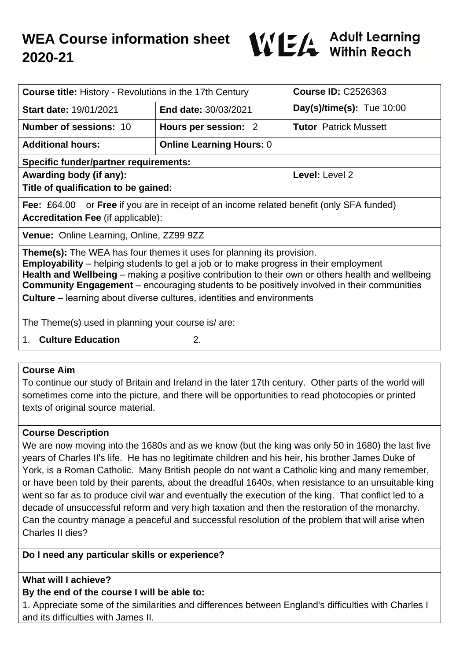

| <b>Course title: History - Revolutions in the 17th Century</b>                                                                                                                                                                                                                                                                                                                                                                                                          |                                 | <b>Course ID: C2526363</b>   |
|-------------------------------------------------------------------------------------------------------------------------------------------------------------------------------------------------------------------------------------------------------------------------------------------------------------------------------------------------------------------------------------------------------------------------------------------------------------------------|---------------------------------|------------------------------|
| <b>Start date: 19/01/2021</b>                                                                                                                                                                                                                                                                                                                                                                                                                                           | <b>End date: 30/03/2021</b>     | Day(s)/time(s): $Tue 10:00$  |
| <b>Number of sessions: 10</b>                                                                                                                                                                                                                                                                                                                                                                                                                                           | Hours per session: 2            | <b>Tutor Patrick Mussett</b> |
| <b>Additional hours:</b>                                                                                                                                                                                                                                                                                                                                                                                                                                                | <b>Online Learning Hours: 0</b> |                              |
| <b>Specific funder/partner requirements:</b>                                                                                                                                                                                                                                                                                                                                                                                                                            |                                 |                              |
| Awarding body (if any):                                                                                                                                                                                                                                                                                                                                                                                                                                                 |                                 | Level: Level 2               |
| Title of qualification to be gained:                                                                                                                                                                                                                                                                                                                                                                                                                                    |                                 |                              |
| <b>Fee:</b> £64.00 or <b>Free</b> if you are in receipt of an income related benefit (only SFA funded)                                                                                                                                                                                                                                                                                                                                                                  |                                 |                              |
| <b>Accreditation Fee (if applicable):</b>                                                                                                                                                                                                                                                                                                                                                                                                                               |                                 |                              |
| Venue: Online Learning, Online, ZZ99 9ZZ                                                                                                                                                                                                                                                                                                                                                                                                                                |                                 |                              |
| <b>Theme(s):</b> The WEA has four themes it uses for planning its provision.<br><b>Employability</b> – helping students to get a job or to make progress in their employment<br>Health and Wellbeing – making a positive contribution to their own or others health and wellbeing<br><b>Community Engagement</b> – encouraging students to be positively involved in their communities<br><b>Culture</b> – learning about diverse cultures, identities and environments |                                 |                              |
| The Theme(s) used in planning your course is/ are:                                                                                                                                                                                                                                                                                                                                                                                                                      |                                 |                              |
| 1. Culture Education<br>2.                                                                                                                                                                                                                                                                                                                                                                                                                                              |                                 |                              |

### **Course Aim**

To continue our study of Britain and Ireland in the later 17th century. Other parts of the world will sometimes come into the picture, and there will be opportunities to read photocopies or printed texts of original source material.

## **Course Description**

We are now moving into the 1680s and as we know (but the king was only 50 in 1680) the last five years of Charles II's life. He has no legitimate children and his heir, his brother James Duke of York, is a Roman Catholic. Many British people do not want a Catholic king and many remember, or have been told by their parents, about the dreadful 1640s, when resistance to an unsuitable king went so far as to produce civil war and eventually the execution of the king. That conflict led to a decade of unsuccessful reform and very high taxation and then the restoration of the monarchy. Can the country manage a peaceful and successful resolution of the problem that will arise when Charles II dies?

# **Do I need any particular skills or experience?**

## **What will I achieve?**

## **By the end of the course I will be able to:**

1. Appreciate some of the similarities and differences between England's difficulties with Charles I and its difficulties with James II.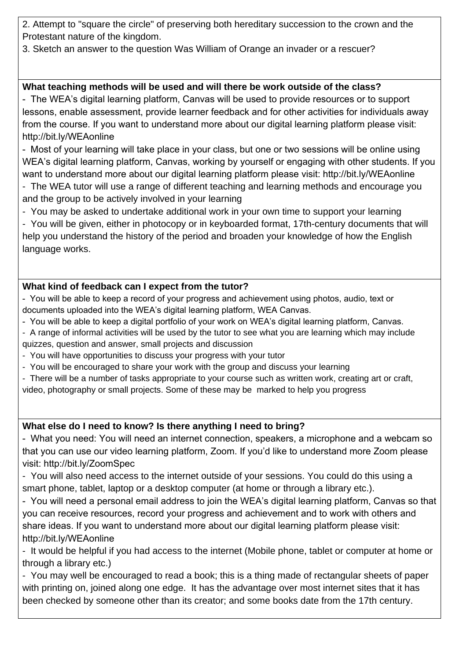2. Attempt to "square the circle" of preserving both hereditary succession to the crown and the Protestant nature of the kingdom.

3. Sketch an answer to the question Was William of Orange an invader or a rescuer?

# **What teaching methods will be used and will there be work outside of the class?**

- The WEA's digital learning platform, Canvas will be used to provide resources or to support lessons, enable assessment, provide learner feedback and for other activities for individuals away from the course. If you want to understand more about our digital learning platform please visit: http://bit.ly/WEAonline

- Most of your learning will take place in your class, but one or two sessions will be online using WEA's digital learning platform, Canvas, working by yourself or engaging with other students. If you want to understand more about our digital learning platform please visit: http://bit.ly/WEAonline

- The WEA tutor will use a range of different teaching and learning methods and encourage you and the group to be actively involved in your learning

- You may be asked to undertake additional work in your own time to support your learning

- You will be given, either in photocopy or in keyboarded format, 17th-century documents that will help you understand the history of the period and broaden your knowledge of how the English language works.

## **What kind of feedback can I expect from the tutor?**

- You will be able to keep a record of your progress and achievement using photos, audio, text or documents uploaded into the WEA's digital learning platform, WEA Canvas.

- You will be able to keep a digital portfolio of your work on WEA's digital learning platform, Canvas.
- A range of informal activities will be used by the tutor to see what you are learning which may include quizzes, question and answer, small projects and discussion
- You will have opportunities to discuss your progress with your tutor
- You will be encouraged to share your work with the group and discuss your learning
- There will be a number of tasks appropriate to your course such as written work, creating art or craft,
- video, photography or small projects. Some of these may be marked to help you progress

# **What else do I need to know? Is there anything I need to bring?**

- What you need: You will need an internet connection, speakers, a microphone and a webcam so that you can use our video learning platform, Zoom. If you'd like to understand more Zoom please visit: http://bit.ly/ZoomSpec

- You will also need access to the internet outside of your sessions. You could do this using a smart phone, tablet, laptop or a desktop computer (at home or through a library etc.).

- You will need a personal email address to join the WEA's digital learning platform, Canvas so that you can receive resources, record your progress and achievement and to work with others and share ideas. If you want to understand more about our digital learning platform please visit: http://bit.ly/WEAonline

- It would be helpful if you had access to the internet (Mobile phone, tablet or computer at home or through a library etc.)

- You may well be encouraged to read a book; this is a thing made of rectangular sheets of paper with printing on, joined along one edge. It has the advantage over most internet sites that it has been checked by someone other than its creator; and some books date from the 17th century.